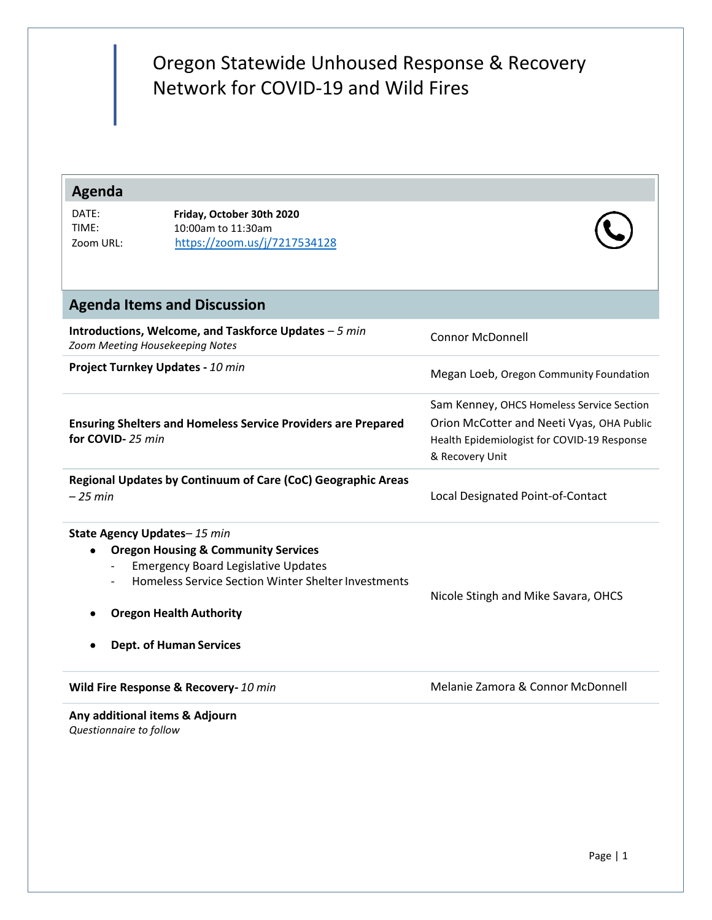# Oregon Statewide Unhoused Response & Recovery Network for COVID-19 and Wild Fires

# **Agenda**

| DATE:     | Friday, October 30th 2020    |
|-----------|------------------------------|
| TIME:     | 10:00am to 11:30am           |
| Zoom URL: | https://zoom.us/j/7217534128 |



| <b>Agenda Items and Discussion</b>                                                                                                                                                                                                                          |                                                                                                                                                          |  |  |  |
|-------------------------------------------------------------------------------------------------------------------------------------------------------------------------------------------------------------------------------------------------------------|----------------------------------------------------------------------------------------------------------------------------------------------------------|--|--|--|
| Introductions, Welcome, and Taskforce Updates - 5 min<br>Zoom Meeting Housekeeping Notes                                                                                                                                                                    | <b>Connor McDonnell</b>                                                                                                                                  |  |  |  |
| Project Turnkey Updates - 10 min                                                                                                                                                                                                                            | Megan Loeb, Oregon Community Foundation                                                                                                                  |  |  |  |
| <b>Ensuring Shelters and Homeless Service Providers are Prepared</b><br>for COVID-25 min                                                                                                                                                                    | Sam Kenney, OHCS Homeless Service Section<br>Orion McCotter and Neeti Vyas, OHA Public<br>Health Epidemiologist for COVID-19 Response<br>& Recovery Unit |  |  |  |
| Regional Updates by Continuum of Care (CoC) Geographic Areas<br>$-25$ min                                                                                                                                                                                   | Local Designated Point-of-Contact                                                                                                                        |  |  |  |
| State Agency Updates-15 min<br><b>Oregon Housing &amp; Community Services</b><br>٠<br><b>Emergency Board Legislative Updates</b><br>Homeless Service Section Winter Shelter Investments<br><b>Oregon Health Authority</b><br><b>Dept. of Human Services</b> | Nicole Stingh and Mike Savara, OHCS                                                                                                                      |  |  |  |
| Wild Fire Response & Recovery- 10 min                                                                                                                                                                                                                       | Melanie Zamora & Connor McDonnell                                                                                                                        |  |  |  |
| Any additional items & Adjourn                                                                                                                                                                                                                              |                                                                                                                                                          |  |  |  |

*Questionnaire to follow*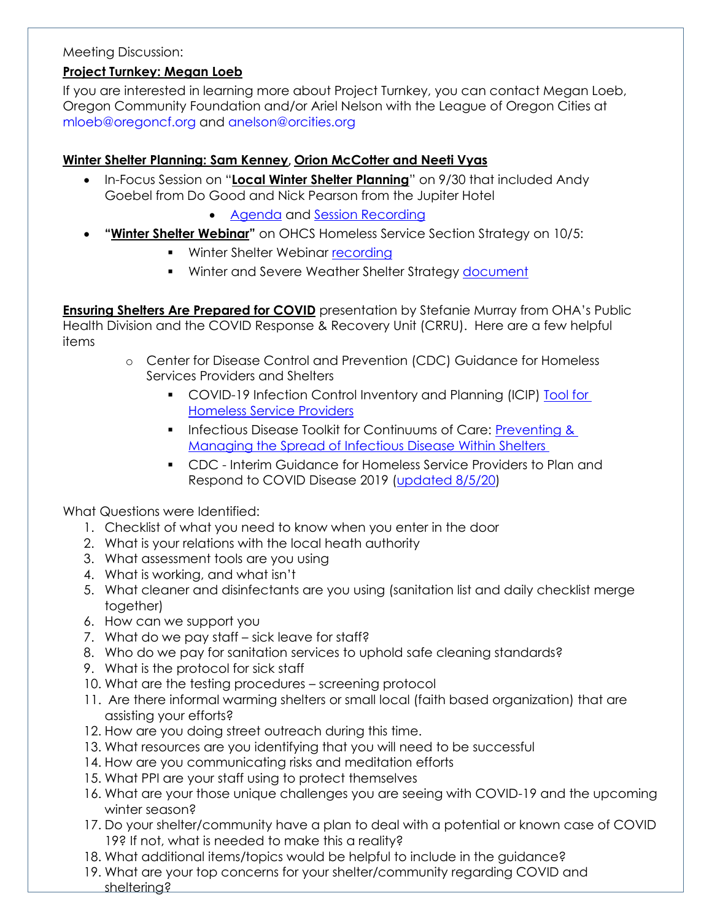#### Meeting Discussion:

### **Project Turnkey: Megan Loeb**

If you are interested in learning more about Project Turnkey, you can contact Megan Loeb, Oregon Community Foundation and/or Ariel Nelson with the League of Oregon Cities at [mloeb@oregoncf.org](mailto:mloeb@oregoncf.org) and [anelson@orcities.org](mailto:anelson@orcities.org)

## **Winter Shelter Planning: Sam Kenney**, **Orion McCotter and Neeti Vyas**

- In-Focus Session on "**Local Winter Shelter Planning**" on 9/30 that included Andy Goebel from Do Good and Nick Pearson from the Jupiter Hotel
	- [Agenda](https://www.oregon.gov/ohcs/get-involved/Documents/committees/HTF/09-30-2020-In-Focus-Shelter-Agenda.pdf) and [Session Recording](https://drive.google.com/file/d/1qUCAkXJmKXbW5SVXgiRRad9tZ7eFtLS0/view)
- **"Winter Shelter Webinar"** on OHCS Homeless Service Section Strategy on 10/5:
	- **■** Winter Shelter Webinar [recording](https://drive.google.com/file/d/1TW8wQ2-M7qedAFYS4ISiMBQ_jRWzHNP2/view)
	- **■** Winter and Severe Weather Shelter Strategy [document](https://www.oregon.gov/ohcs/Documents/winter-shelter/OHCS-Winter-Severe-Weather-Shelter-Resources-Strategy.pdf)

**Ensuring Shelters Are Prepared for COVID** presentation by Stefanie Murray from OHA's Public Health Division and the COVID Response & Recovery Unit (CRRU). Here are a few helpful items

- o Center for Disease Control and Prevention (CDC) Guidance for Homeless Services Providers and Shelters
	- COVID-19 Infection Control Inventory and Planning (ICIP) Tool for [Homeless Service Providers](https://www.cdc.gov/coronavirus/2019-ncov/community/homeless-shelters/infection-control-inventory-planning-tool.pdf)
	- **•** Infectious Disease Toolkit for Continuums of Care: Preventing & [Managing the Spread of Infectious Disease Within Shelters](https://files.hudexchange.info/resources/documents/Infectious-Disease-Toolkit-for-CoCs-Preventing-and-Managing-the-Spread-of-Infectious-Disease-within-Shelters.pdf)
	- CDC Interim Guidance for Homeless Service Providers to Plan and Respond to COVID Disease 2019 [\(updated 8/5/20\)](https://www.cdc.gov/coronavirus/2019-ncov/community/homeless-shelters/plan-prepare-respond.html)

What Questions were Identified:

- 1. Checklist of what you need to know when you enter in the door
- 2. What is your relations with the local heath authority
- 3. What assessment tools are you using
- 4. What is working, and what isn't
- 5. What cleaner and disinfectants are you using (sanitation list and daily checklist merge together)
- 6. How can we support you
- 7. What do we pay staff sick leave for staff?
- 8. Who do we pay for sanitation services to uphold safe cleaning standards?
- 9. What is the protocol for sick staff
- 10. What are the testing procedures screening protocol
- 11. Are there informal warming shelters or small local (faith based organization) that are assisting your efforts?
- 12. How are you doing street outreach during this time.
- 13. What resources are you identifying that you will need to be successful
- 14. How are you communicating risks and meditation efforts
- 15. What PPI are your staff using to protect themselves
- 16. What are your those unique challenges you are seeing with COVID-19 and the upcoming winter season?
- 17. Do your shelter/community have a plan to deal with a potential or known case of COVID 19? If not, what is needed to make this a reality?
- 18. What additional items/topics would be helpful to include in the guidance?
- 19. What are your top concerns for your shelter/community regarding COVID and sheltering?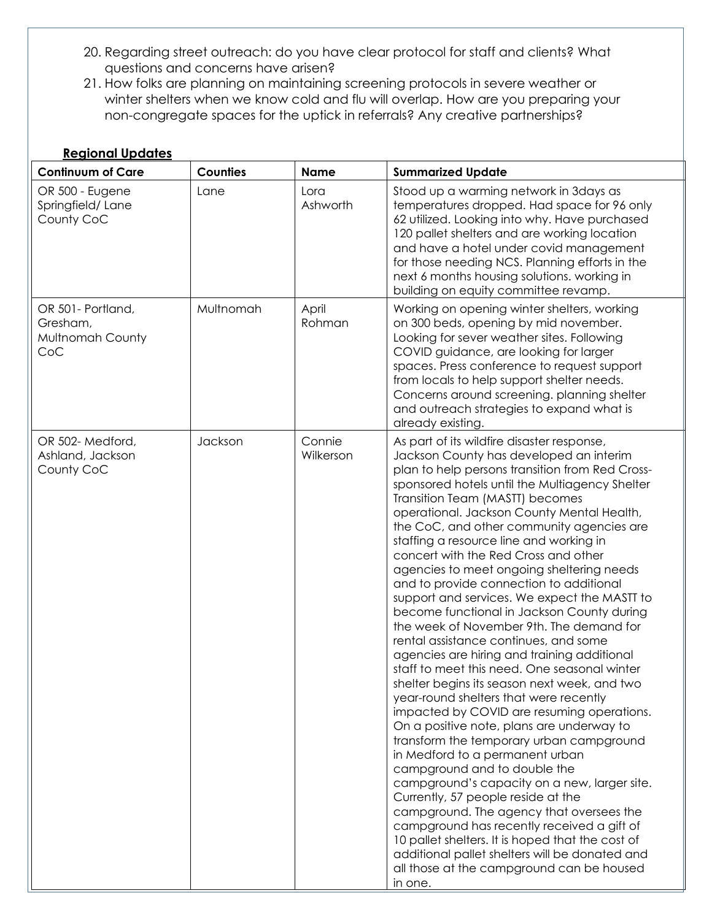- 20. Regarding street outreach: do you have clear protocol for staff and clients? What questions and concerns have arisen?
- 21. How folks are planning on maintaining screening protocols in severe weather or winter shelters when we know cold and flu will overlap. How are you preparing your non-congregate spaces for the uptick in referrals? Any creative partnerships?

| <b>Regional Updates</b>                                  |                 |                     |                                                                                                                                                                                                                                                                                                                                                                                                                                                                                                                                                                                                                                                                                                                                                                                                                                                                                                                                                                                                                                                                                                                                                                                                                                                                                                                                                                                                                                         |  |  |
|----------------------------------------------------------|-----------------|---------------------|-----------------------------------------------------------------------------------------------------------------------------------------------------------------------------------------------------------------------------------------------------------------------------------------------------------------------------------------------------------------------------------------------------------------------------------------------------------------------------------------------------------------------------------------------------------------------------------------------------------------------------------------------------------------------------------------------------------------------------------------------------------------------------------------------------------------------------------------------------------------------------------------------------------------------------------------------------------------------------------------------------------------------------------------------------------------------------------------------------------------------------------------------------------------------------------------------------------------------------------------------------------------------------------------------------------------------------------------------------------------------------------------------------------------------------------------|--|--|
| <b>Continuum of Care</b>                                 | <b>Counties</b> | <b>Name</b>         | <b>Summarized Update</b>                                                                                                                                                                                                                                                                                                                                                                                                                                                                                                                                                                                                                                                                                                                                                                                                                                                                                                                                                                                                                                                                                                                                                                                                                                                                                                                                                                                                                |  |  |
| OR 500 - Eugene<br>Springfield/Lane<br>County CoC        | Lane            | Lora<br>Ashworth    | Stood up a warming network in 3days as<br>temperatures dropped. Had space for 96 only<br>62 utilized. Looking into why. Have purchased<br>120 pallet shelters and are working location<br>and have a hotel under covid management<br>for those needing NCS. Planning efforts in the<br>next 6 months housing solutions. working in<br>building on equity committee revamp.                                                                                                                                                                                                                                                                                                                                                                                                                                                                                                                                                                                                                                                                                                                                                                                                                                                                                                                                                                                                                                                              |  |  |
| OR 501- Portland,<br>Gresham,<br>Multnomah County<br>CoC | Multnomah       | April<br>Rohman     | Working on opening winter shelters, working<br>on 300 beds, opening by mid november.<br>Looking for sever weather sites. Following<br>COVID guidance, are looking for larger<br>spaces. Press conference to request support<br>from locals to help support shelter needs.<br>Concerns around screening. planning shelter<br>and outreach strategies to expand what is<br>already existing.                                                                                                                                                                                                                                                                                                                                                                                                                                                                                                                                                                                                                                                                                                                                                                                                                                                                                                                                                                                                                                              |  |  |
| OR 502-Medford,<br>Ashland, Jackson<br>County CoC        | Jackson         | Connie<br>Wilkerson | As part of its wildfire disaster response,<br>Jackson County has developed an interim<br>plan to help persons transition from Red Cross-<br>sponsored hotels until the Multiagency Shelter<br>Transition Team (MASTT) becomes<br>operational. Jackson County Mental Health,<br>the CoC, and other community agencies are<br>staffing a resource line and working in<br>concert with the Red Cross and other<br>agencies to meet ongoing sheltering needs<br>and to provide connection to additional<br>support and services. We expect the MASTT to<br>become functional in Jackson County during<br>the week of November 9th. The demand for<br>rental assistance continues, and some<br>agencies are hiring and training additional<br>staff to meet this need. One seasonal winter<br>shelter begins its season next week, and two<br>year-round shelters that were recently<br>impacted by COVID are resuming operations.<br>On a positive note, plans are underway to<br>transform the temporary urban campground<br>in Medford to a permanent urban<br>campground and to double the<br>campground's capacity on a new, larger site.<br>Currently, 57 people reside at the<br>campground. The agency that oversees the<br>campground has recently received a gift of<br>10 pallet shelters. It is hoped that the cost of<br>additional pallet shelters will be donated and<br>all those at the campground can be housed<br>in one. |  |  |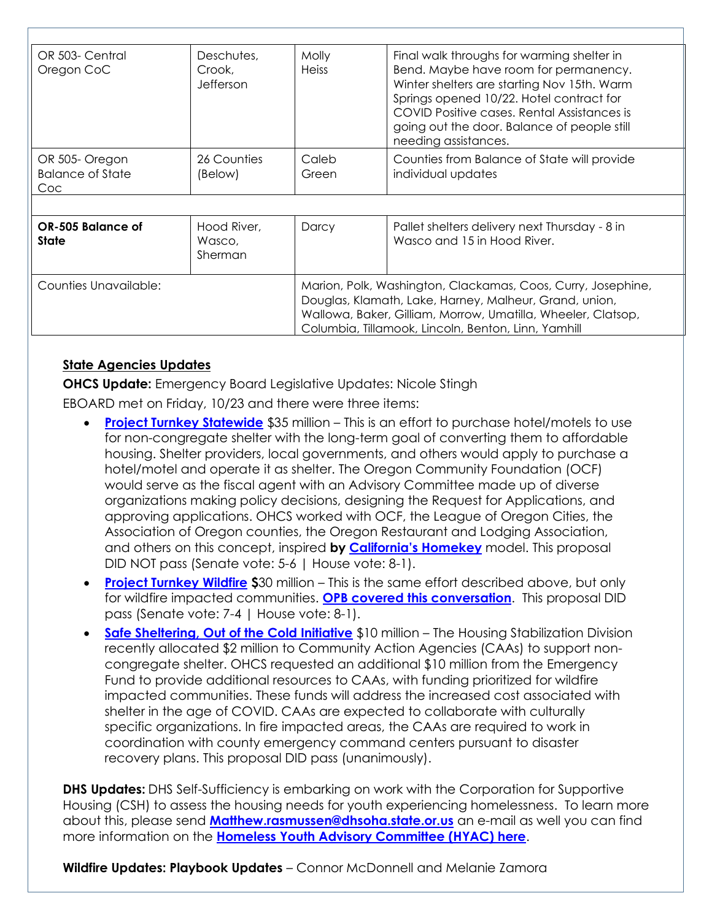| OR 503- Central<br>Oregon CoC                   | Deschutes,<br>Crook,<br>Jefferson | Molly<br><b>Heiss</b>                                                                                                                                                                                                                         | Final walk throughs for warming shelter in<br>Bend. Maybe have room for permanency.<br>Winter shelters are starting Nov 15th. Warm<br>Springs opened 10/22. Hotel contract for<br>COVID Positive cases. Rental Assistances is<br>going out the door. Balance of people still<br>needing assistances. |
|-------------------------------------------------|-----------------------------------|-----------------------------------------------------------------------------------------------------------------------------------------------------------------------------------------------------------------------------------------------|------------------------------------------------------------------------------------------------------------------------------------------------------------------------------------------------------------------------------------------------------------------------------------------------------|
| OR 505-Oregon<br><b>Balance of State</b><br>Coc | 26 Counties<br>(Below)            | Caleb<br>Green                                                                                                                                                                                                                                | Counties from Balance of State will provide<br>individual updates                                                                                                                                                                                                                                    |
| OR-505 Balance of<br>State                      | Hood River,<br>Wasco,<br>Sherman  | Darcy                                                                                                                                                                                                                                         | Pallet shelters delivery next Thursday - 8 in<br>Wasco and 15 in Hood River.                                                                                                                                                                                                                         |
| <b>Counties Unavailable:</b>                    |                                   | Marion, Polk, Washington, Clackamas, Coos, Curry, Josephine,<br>Douglas, Klamath, Lake, Harney, Malheur, Grand, union,<br>Wallowa, Baker, Gilliam, Morrow, Umatilla, Wheeler, Clatsop,<br>Columbia, Tillamook, Lincoln, Benton, Linn, Yamhill |                                                                                                                                                                                                                                                                                                      |

#### **State Agencies Updates**

**OHCS Update:** Emergency Board Legislative Updates: Nicole Stingh

EBOARD met on Friday, 10/23 and there were three items:

- **[Project Turnkey Statewide](https://olis.oregonlegislature.gov/liz/2019I1/Downloads/CommitteeMeetingDocument/226815)** \$35 million This is an effort to purchase hotel/motels to use for non-congregate shelter with the long-term goal of converting them to affordable housing. Shelter providers, local governments, and others would apply to purchase a hotel/motel and operate it as shelter. The Oregon Community Foundation (OCF) would serve as the fiscal agent with an Advisory Committee made up of diverse organizations making policy decisions, designing the Request for Applications, and approving applications. OHCS worked with OCF, the League of Oregon Cities, the Association of Oregon counties, the Oregon Restaurant and Lodging Association, and others on this concept, inspired **by [California's Homekey](https://hcd.ca.gov/grants-funding/active-funding/homekey.shtml)** model. This proposal DID NOT pass (Senate vote: 5-6 | House vote: 8-1).
- **[Project Turnkey Wildfire](https://olis.oregonlegislature.gov/liz/2019I1/Downloads/CommitteeMeetingDocument/226814) \$**30 million This is the same effort described above, but only for wildfire impacted communities. **[OPB covered this conversation](https://www.opb.org/article/2020/10/23/emergency-shelter-oregon-hotels-tax-money/)**. This proposal DID pass (Senate vote: 7-4 | House vote: 8-1).
- **[Safe Sheltering, Out of the Cold Initiative](https://olis.oregonlegislature.gov/liz/2019I1/Downloads/CommitteeMeetingDocument/226799)** \$10 million The Housing Stabilization Division recently allocated \$2 million to Community Action Agencies (CAAs) to support noncongregate shelter. OHCS requested an additional \$10 million from the Emergency Fund to provide additional resources to CAAs, with funding prioritized for wildfire impacted communities. These funds will address the increased cost associated with shelter in the age of COVID. CAAs are expected to collaborate with culturally specific organizations. In fire impacted areas, the CAAs are required to work in coordination with county emergency command centers pursuant to disaster recovery plans. This proposal DID pass (unanimously).

**DHS Updates:** DHS Self-Sufficiency is embarking on work with the Corporation for Supportive Housing (CSH) to assess the housing needs for youth experiencing homelessness. To learn more about this, please send **[Matthew.rasmussen@dhsoha.state.or.us](mailto:Matthew.rasmussen@dhsoha.state.or.us)** an e-mail as well you can find more information on the **[Homeless Youth Advisory Committee \(HYAC\) here](https://www.oregon.gov/DHS/CHILDREN/Homeless-Youth/Pages/Meetings.aspx)**.

**Wildfire Updates: Playbook Updates** – Connor McDonnell and Melanie Zamora